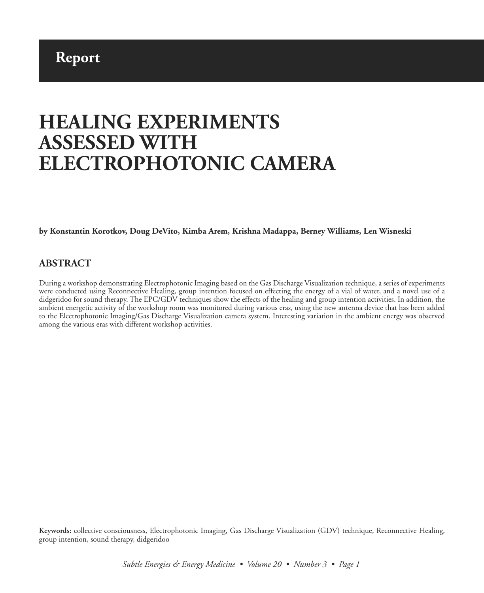# **Report**

# **HEALING EXPERIMENTS ASSESSED WITH ELECTROPHOTONIC CAMERA**

**by Konstantin Korotkov, Doug DeVito, Kimba Arem, Krishna Madappa, Berney Williams, Len Wisneski**

#### **ABSTRACT**

During a workshop demonstrating Electrophotonic Imaging based on the Gas Discharge Visualization technique, a series of experiments were conducted using Reconnective Healing, group intention focused on effecting the energy of a vial of water, and a novel use of a didgeridoo for sound therapy. The EPC/GDV techniques show the effects of the healing and group intention activities. In addition, the ambient energetic activity of the workshop room was monitored during various eras, using the new antenna device that has been added to the Electrophotonic Imaging/Gas Discharge Visualization camera system. Interesting variation in the ambient energy was observed among the various eras with different workshop activities.

**Keywords:** collective consciousness, Electrophotonic Imaging, Gas Discharge Visualization (GDV) technique, Reconnective Healing, group intention, sound therapy, didgeridoo

*Subtle Energies & Energy Medicine • Volume 20 • Number 3 • Page 1*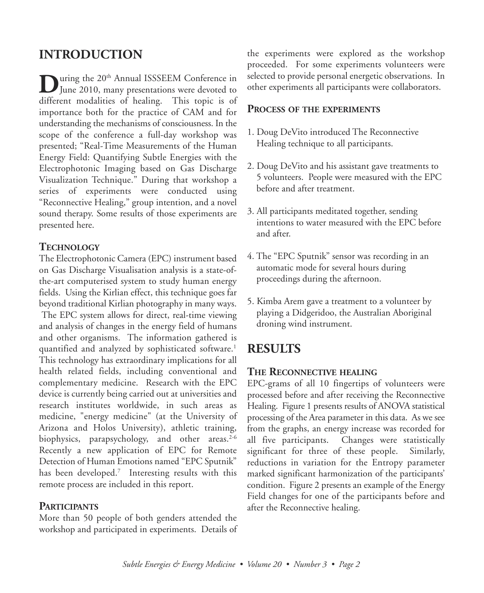# **INTRODUCTION**

**D**uring the 20<sup>th</sup> Annual ISSSEEM Conference in<br>June 2010, many presentations were devoted to different modalities of healing. This topic is of importance both for the practice of CAM and for understanding the mechanisms of consciousness. In the scope of the conference a full-day workshop was presented; "Real-Time Measurements of the Human Energy Field: Quantifying Subtle Energies with the Electrophotonic Imaging based on Gas Discharge Visualization Technique." During that workshop a series of experiments were conducted using "Reconnective Healing," group intention, and a novel sound therapy. Some results of those experiments are presented here.

## **TECHNOLOGY**

The Electrophotonic Camera (EPC) instrument based on Gas Discharge Visualisation analysis is a state-ofthe-art computerised system to study human energy fields. Using the Kirlian effect, this technique goes far beyond traditional Kirlian photography in many ways. The EPC system allows for direct, real-time viewing and analysis of changes in the energy field of humans and other organisms. The information gathered is quantified and analyzed by sophisticated software. 1 This technology has extraordinary implications for all health related fields, including conventional and complementary medicine. Research with the EPC device is currently being carried out at universities and research institutes worldwide, in such areas as medicine, "energy medicine" (at the University of Arizona and Holos University), athletic training, biophysics, parapsychology, and other areas. 2-6 Recently a new application of EPC for Remote Detection of Human Emotions named "EPC Sputnik" has been developed. <sup>7</sup> Interesting results with this remote process are included in this report.

## **PARTICIPANTS**

More than 50 people of both genders attended the workshop and participated in experiments. Details of the experiments were explored as the workshop proceeded. For some experiments volunteers were selected to provide personal energetic observations. In other experiments all participants were collaborators.

#### **PROCESS OF THE EXPERIMENTS**

- 1. Doug DeVito introduced The Reconnective Healing technique to all participants.
- 2. Doug DeVito and his assistant gave treatments to 5 volunteers. People were measured with the EPC before and after treatment.
- 3. All participants meditated together, sending intentions to water measured with the EPC before and after.
- 4. The "EPC Sputnik" sensor was recording in an automatic mode for several hours during proceedings during the afternoon.
- 5. Kimba Arem gave a treatment to a volunteer by playing a Didgeridoo, the Australian Aboriginal droning wind instrument.

## **RESULTS**

## **THE RECONNECTIVE HEALING**

EPC-grams of all 10 fingertips of volunteers were processed before and after receiving the Reconnective Healing. Figure 1 presents results of ANOVA statistical processing of the Area parameter in this data. As we see from the graphs, an energy increase was recorded for all five participants. Changes were statistically significant for three of these people. Similarly, reductions in variation for the Entropy parameter marked significant harmonization of the participants' condition. Figure 2 presents an example of the Energy Field changes for one of the participants before and after the Reconnective healing.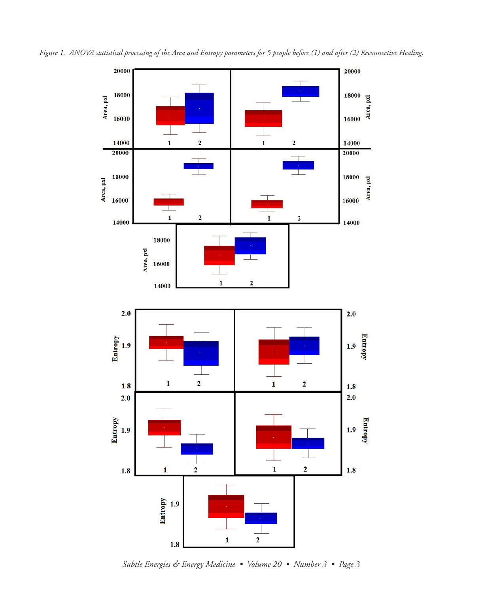

Figure 1. ANOVA statistical processing of the Area and Entropy parameters for 5 people before (1) and after (2) Reconnective Healing.

*Subtle Energies & Energy Medicine • Volume 20 • Number 3 • Page 3*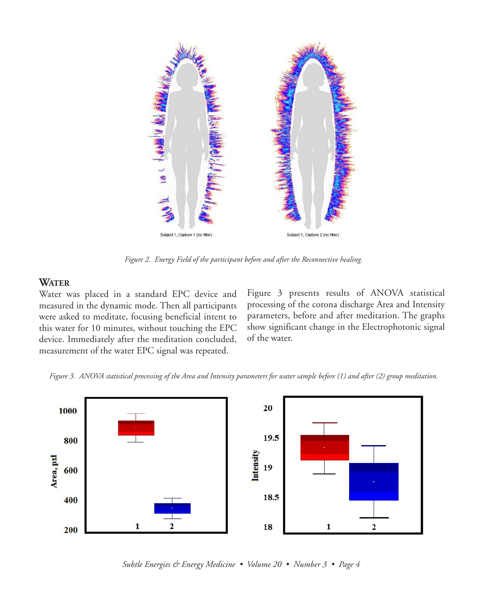

*Figure 2. Energy Field of the participant before and after the Reconnective healing.*

#### **WATER**

Water was placed in a standard EPC device and measured in the dynamic mode. Then all participants were asked to meditate, focusing beneficial intent to this water for 10 minutes, without touching the EPC device. Immediately after the meditation concluded, measurement of the water EPC signal was repeated.

Figure 3 presents results of ANOVA statistical processing of the corona discharge Area and Intensity parameters, before and after meditation. The graphs show significant change in the Electrophotonic signal of the water.





*Subtle Energies & Energy Medicine • Volume 20 • Number 3 • Page 4*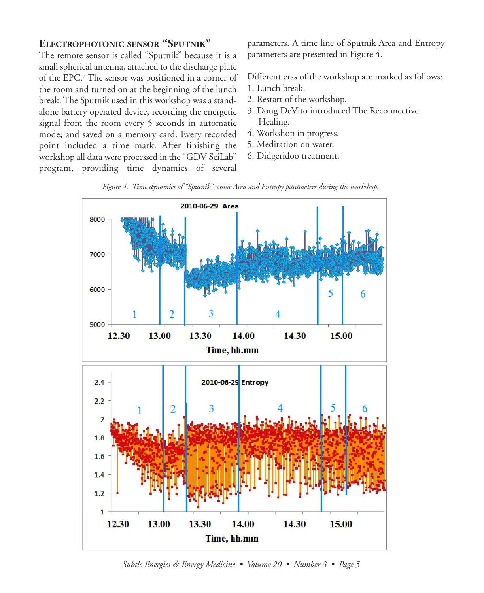## **ELECTROPHOTONIC SENSOR "SPUTNIK"**

The remote sensor is called "Sputnik" because it is a small spherical antenna, attached to the discharge plate of the EPC. <sup>7</sup> The sensor was positioned in a corner of the room and turned on at the beginning of the lunch break. The Sputnik used in this workshop was a standalone battery operated device, recording the energetic signal from the room every 5 seconds in automatic mode; and saved on a memory card. Every recorded point included a time mark. After finishing the workshop all data were processed in the "GDV SciLab" program, providing time dynamics of several

parameters. A time line of Sputnik Area and Entropy parameters are presented in Figure 4.

Different eras of the workshop are marked as follows:

- 1. Lunch break.
- 2. Restart of the workshop.
- 3. Doug DeVito introduced The Reconnective Healing.
- 4. Workshop in progress.
- 5. Meditation on water.
- 6. Didgeridoo treatment.



*Figure 4. Time dynamics of "Sputnik" sensor Area and Entropy parameters during the workshop.*

*Subtle Energies & Energy Medicine • Volume 20 • Number 3 • Page 5*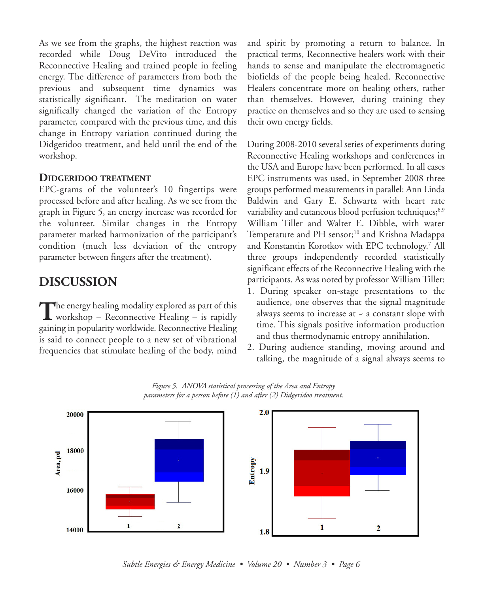As we see from the graphs, the highest reaction was recorded while Doug DeVito introduced the Reconnective Healing and trained people in feeling energy. The difference of parameters from both the previous and subsequent time dynamics was statistically significant. The meditation on water significally changed the variation of the Entropy parameter, compared with the previous time, and this change in Entropy variation continued during the Didgeridoo treatment, and held until the end of the workshop.

#### **DIDGERIDOO TREATMENT**

EPC-grams of the volunteer's 10 fingertips were processed before and after healing. As we see from the graph in Figure 5, an energy increase was recorded for the volunteer. Similar changes in the Entropy parameter marked harmonization of the participant's condition (much less deviation of the entropy parameter between fingers after the treatment).

# **DISCUSSION**

The energy healing modality explored as part of this **L** workshop – Reconnective Healing – is rapidly gaining in popularity worldwide. Reconnective Healing is said to connect people to a new set of vibrational frequencies that stimulate healing of the body, mind and spirit by promoting a return to balance. In practical terms, Reconnective healers work with their hands to sense and manipulate the electromagnetic biofields of the people being healed. Reconnective Healers concentrate more on healing others, rather than themselves. However, during training they practice on themselves and so they are used to sensing their own energy fields.

During 2008-2010 several series of experiments during Reconnective Healing workshops and conferences in the USA and Europe have been performed. In all cases EPC instruments was used, in September 2008 three groups performed measurements in parallel: Ann Linda Baldwin and Gary E. Schwartz with heart rate variability and cutaneous blood perfusion techniques;<sup>8,9</sup> William Tiller and Walter E. Dibble, with water Temperature and PH sensor; <sup>10</sup> and Krishna Madappa and Konstantin Korotkov with EPC technology. <sup>7</sup> All three groups independently recorded statistically significant effects of the Reconnective Healing with the participants. As was noted by professor William Tiller:

- 1. During speaker on-stage presentations to the audience, one observes that the signal magnitude always seems to increase at  $\sim$  a constant slope with time. This signals positive information production and thus thermodynamic entropy annihilation.
- 2. During audience standing, moving around and talking, the magnitude of a signal always seems to



*Figure 5. ANOVA statistical processing of the Area and Entropy parameters for a person before (1) and after (2) Didgeridoo treatment.*

*Subtle Energies & Energy Medicine • Volume 20 • Number 3 • Page 6*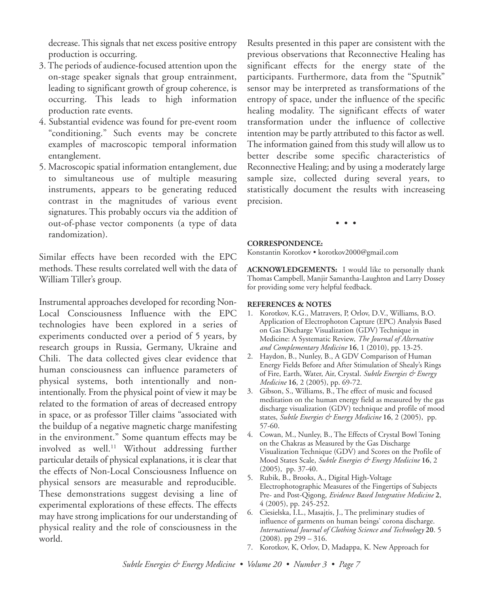decrease.This signals that net excess positive entropy production is occurring.

- 3. The periods of audience-focused attention upon the on-stage speaker signals that group entrainment, leading to significant growth of group coherence, is occurring. This leads to high information production rate events.
- 4. Substantial evidence was found for pre-event room "conditioning." Such events may be concrete examples of macroscopic temporal information entanglement.
- 5. Macroscopic spatial information entanglement, due to simultaneous use of multiple measuring instruments, appears to be generating reduced contrast in the magnitudes of various event signatures. This probably occurs via the addition of out-of-phase vector components (a type of data randomization).

Similar effects have been recorded with the EPC methods. These results correlated well with the data of William Tiller's group.

Instrumental approaches developed for recording Non-Local Consciousness Influence with the EPC technologies have been explored in a series of experiments conducted over a period of 5 years, by research groups in Russia, Germany, Ukraine and Chili. The data collected gives clear evidence that human consciousness can influence parameters of physical systems, both intentionally and nonintentionally. From the physical point of view it may be related to the formation of areas of decreased entropy in space, or as professor Tiller claims "associated with the buildup of a negative magnetic charge manifesting in the environment." Some quantum effects may be involved as well. <sup>11</sup> Without addressing further particular details of physical explanations, it is clear that the effects of Non-Local Consciousness Influence on physical sensors are measurable and reproducible. These demonstrations suggest devising a line of experimental explorations of these effects. The effects may have strong implications for our understanding of physical reality and the role of consciousness in the world.

Results presented in this paper are consistent with the previous observations that Reconnective Healing has significant effects for the energy state of the participants. Furthermore, data from the "Sputnik" sensor may be interpreted as transformations of the entropy of space, under the influence of the specific healing modality. The significant effects of water transformation under the influence of collective intention may be partly attributed to this factor as well. The information gained from this study will allow us to better describe some specific characteristics of Reconnective Healing; and by using a moderately large sample size, collected during several years, to statistically document the results with increaseing precision.

• • •

#### **CORRESPONDENCE:**

Konstantin Korotkov • korotkov2000@gmail.com

**ACKNOWLEDGEMENTS:** I would like to personally thank Thomas Campbell, Manjir Samantha-Laughton and Larry Dossey for providing some very helpful feedback.

#### **REFERENCES & NOTES**

- 1. Korotkov, K.G., Matravers, P, Orlov, D.V., Williams, B.O. Application of Electrophoton Capture (EPC) Analysis Based on Gas Discharge Visualization (GDV) Technique in Medicine: A Systematic Review, *The Journal of Alternative and Complementary Medicine* **16**, 1 (2010), pp. 13-25.
- 2. Haydon, B., Nunley, B., A GDV Comparison of Human Energy Fields Before and After Stimulation of Shealy's Rings of Fire, Earth, Water, Air, Crystal. *Subtle Energies & Energy Medicine* **16**, 2 (2005), pp. 69-72.
- 3. Gibson, S., Williams, B., The effect of music and focused meditation on the human energy field as measured by the gas discharge visualization (GDV) technique and profile of mood states, *Subtle Energies & Energy Medicine* **16**, 2 (2005), pp. 57-60.
- 4. Cowan, M., Nunley, B., The Effects of Crystal Bowl Toning on the Chakras as Measured by the Gas Discharge Visualization Technique (GDV) and Scores on the Profile of Mood States Scale, *Subtle Energies & Energy Medicine* **16**, 2 (2005), pp. 37-40.
- 5. Rubik, B., Brooks, A., Digital High-Voltage Electrophotographic Measures of the Fingertips of Subjects Pre- and Post-Qigong, *Evidence Based Integrative Medicine* **2**, 4 (2005), pp. 245-252.
- 6. Ciesielska, I.L., Masajtis, J., The preliminary studies of influence of garments on human beings' corona discharge. *International Journal of Clothing Science and Technology* **20**. 5 (2008). pp 299 – 316.
- 7. Korotkov, K, Orlov, D, Madappa, K. New Approach for